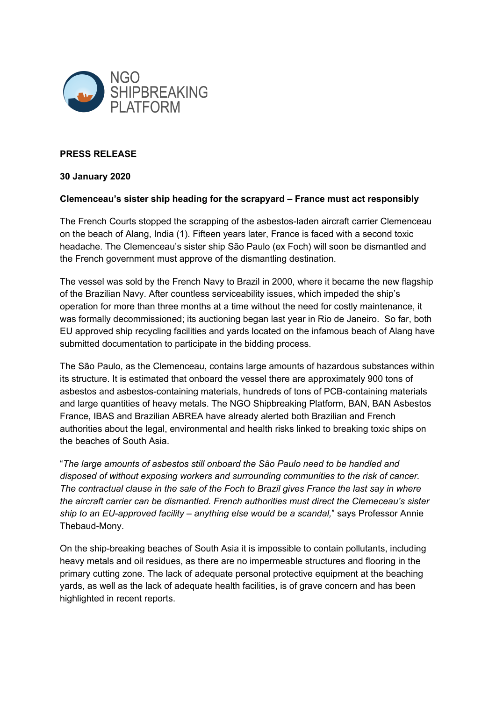

## **PRESS RELEASE**

## **30 January 2020**

## **Clemenceau's sister ship heading for the scrapyard – France must act responsibly**

The French Courts stopped the scrapping of the asbestos-laden aircraft carrier Clemenceau on the beach of Alang, India (1). Fifteen years later, France is faced with a second toxic headache. The Clemenceau's sister ship São Paulo (ex Foch) will soon be dismantled and the French government must approve of the dismantling destination.

The vessel was sold by the French Navy to Brazil in 2000, where it became the new flagship of the Brazilian Navy. After countless serviceability issues, which impeded the ship's operation for more than three months at a time without the need for costly maintenance, it was formally decommissioned; its auctioning began last year in Rio de Janeiro. So far, both EU approved ship recycling facilities and yards located on the infamous beach of Alang have submitted documentation to participate in the bidding process.

The São Paulo, as the Clemenceau, contains large amounts of hazardous substances within its structure. It is estimated that onboard the vessel there are approximately 900 tons of asbestos and asbestos-containing materials, hundreds of tons of PCB-containing materials and large quantities of heavy metals. The NGO Shipbreaking Platform, BAN, BAN Asbestos France, IBAS and Brazilian ABREA have already alerted both Brazilian and French authorities about the legal, environmental and health risks linked to breaking toxic ships on the beaches of South Asia.

"*The large amounts of asbestos still onboard the São Paulo need to be handled and disposed of without exposing workers and surrounding communities to the risk of cancer. The contractual clause in the sale of the Foch to Brazil gives France the last say in where the aircraft carrier can be dismantled. French authorities must direct the Clemeceau's sister ship to an EU-approved facility – anything else would be a scandal,*" says Professor Annie Thebaud-Mony.

On the ship-breaking beaches of South Asia it is impossible to contain pollutants, including heavy metals and oil residues, as there are no impermeable structures and flooring in the primary cutting zone. The lack of adequate personal protective equipment at the beaching yards, as well as the lack of adequate health facilities, is of grave concern and has been highlighted in recent reports.